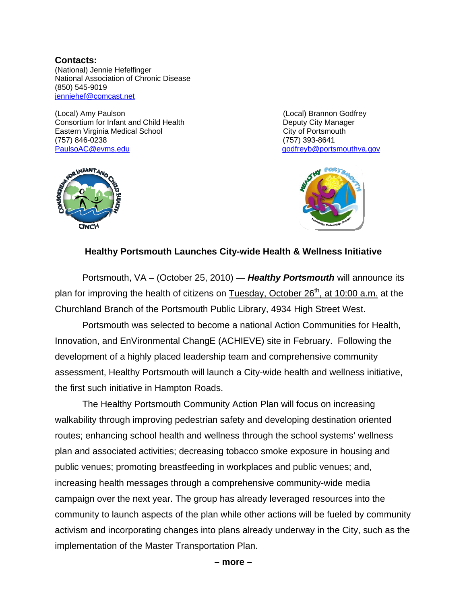## **Contacts:** (National) Jennie Hefelfinger National Association of Chronic Disease (850) 545-9019 [jenniehef@comcast.net](mailto:jenniehef@comcast.net)

(Local) Amy Paulson (Local) Brannon Godfrey Consortium for Infant and Child Health Deputy City Manager Eastern Virginia Medical School City of Portsmouth (757) 846-0238 (757) 393-8641 [PaulsoAC@evms.edu](mailto:PaulsoAC@evms.edu) [godfreyb@portsmouthva.gov](mailto:godfreyb@portsmouthva.gov) 





## **Healthy Portsmouth Launches City-wide Health & Wellness Initiative**

Portsmouth, VA *–* (October 25, 2010) — *Healthy Portsmouth* will announce its plan for improving the health of citizens on Tuesday, October  $26<sup>th</sup>$ , at 10:00 a.m. at the Churchland Branch of the Portsmouth Public Library, 4934 High Street West.

Portsmouth was selected to become a national Action Communities for Health, Innovation, and EnVironmental ChangE (ACHIEVE) site in February. Following the development of a highly placed leadership team and comprehensive community assessment, Healthy Portsmouth will launch a City-wide health and wellness initiative, the first such initiative in Hampton Roads.

The Healthy Portsmouth Community Action Plan will focus on increasing walkability through improving pedestrian safety and developing destination oriented routes; enhancing school health and wellness through the school systems' wellness plan and associated activities; decreasing tobacco smoke exposure in housing and public venues; promoting breastfeeding in workplaces and public venues; and, increasing health messages through a comprehensive community-wide media campaign over the next year. The group has already leveraged resources into the community to launch aspects of the plan while other actions will be fueled by community activism and incorporating changes into plans already underway in the City, such as the implementation of the Master Transportation Plan.

**– more –**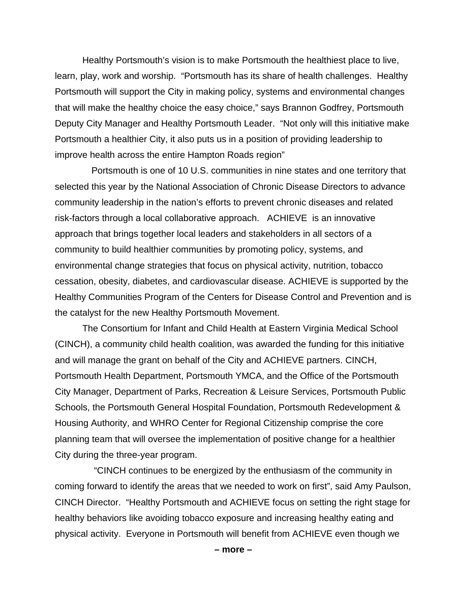Healthy Portsmouth's vision is to make Portsmouth the healthiest place to live, learn, play, work and worship. "Portsmouth has its share of health challenges. Healthy Portsmouth will support the City in making policy, systems and environmental changes that will make the healthy choice the easy choice," says Brannon Godfrey, Portsmouth Deputy City Manager and Healthy Portsmouth Leader. "Not only will this initiative make Portsmouth a healthier City, it also puts us in a position of providing leadership to improve health across the entire Hampton Roads region"

Portsmouth is one of 10 U.S. communities in nine states and one territory that selected this year by the National Association of Chronic Disease Directors to advance community leadership in the nation's efforts to prevent chronic diseases and related risk-factors through a local collaborative approach. ACHIEVE is an innovative approach that brings together local leaders and stakeholders in all sectors of a community to build healthier communities by promoting policy, systems, and environmental change strategies that focus on physical activity, nutrition, tobacco cessation, obesity, diabetes, and cardiovascular disease. ACHIEVE is supported by the Healthy Communities Program of the Centers for Disease Control and Prevention and is the catalyst for the new Healthy Portsmouth Movement.

The Consortium for Infant and Child Health at Eastern Virginia Medical School (CINCH), a community child health coalition, was awarded the funding for this initiative and will manage the grant on behalf of the City and ACHIEVE partners. CINCH, Portsmouth Health Department, Portsmouth YMCA, and the Office of the Portsmouth City Manager, Department of Parks, Recreation & Leisure Services, Portsmouth Public Schools, the Portsmouth General Hospital Foundation, Portsmouth Redevelopment & Housing Authority, and WHRO Center for Regional Citizenship comprise the core planning team that will oversee the implementation of positive change for a healthier City during the three-year program.

 "CINCH continues to be energized by the enthusiasm of the community in coming forward to identify the areas that we needed to work on first", said Amy Paulson, CINCH Director. "Healthy Portsmouth and ACHIEVE focus on setting the right stage for healthy behaviors like avoiding tobacco exposure and increasing healthy eating and physical activity. Everyone in Portsmouth will benefit from ACHIEVE even though we

**– more –**